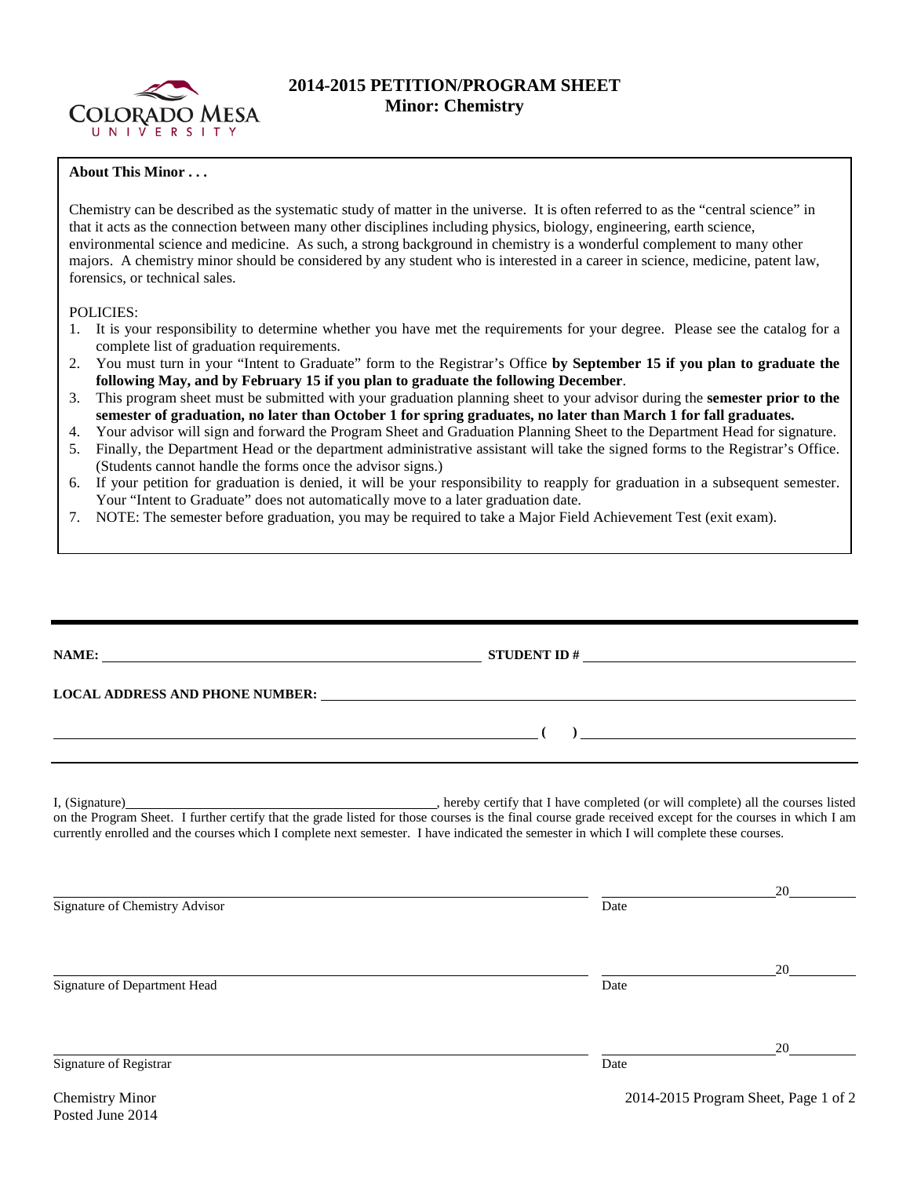

## **2014-2015 PETITION/PROGRAM SHEET Minor: Chemistry**

## **About This Minor . . .**

Chemistry can be described as the systematic study of matter in the universe. It is often referred to as the "central science" in that it acts as the connection between many other disciplines including physics, biology, engineering, earth science, environmental science and medicine. As such, a strong background in chemistry is a wonderful complement to many other majors. A chemistry minor should be considered by any student who is interested in a career in science, medicine, patent law, forensics, or technical sales.

## POLICIES:

Posted June 2014

- 1. It is your responsibility to determine whether you have met the requirements for your degree. Please see the catalog for a complete list of graduation requirements.
- 2. You must turn in your "Intent to Graduate" form to the Registrar's Office **by September 15 if you plan to graduate the following May, and by February 15 if you plan to graduate the following December**.
- 3. This program sheet must be submitted with your graduation planning sheet to your advisor during the **semester prior to the semester of graduation, no later than October 1 for spring graduates, no later than March 1 for fall graduates.**
- 4. Your advisor will sign and forward the Program Sheet and Graduation Planning Sheet to the Department Head for signature. 5. Finally, the Department Head or the department administrative assistant will take the signed forms to the Registrar's Office.
- (Students cannot handle the forms once the advisor signs.) 6. If your petition for graduation is denied, it will be your responsibility to reapply for graduation in a subsequent semester.
- Your "Intent to Graduate" does not automatically move to a later graduation date.
- 7. NOTE: The semester before graduation, you may be required to take a Major Field Achievement Test (exit exam).

|                                | LOCAL ADDRESS AND PHONE NUMBER: Under the contract of the contract of the contract of the contract of the contract of the contract of the contract of the contract of the contract of the contract of the contract of the cont |                                      |
|--------------------------------|--------------------------------------------------------------------------------------------------------------------------------------------------------------------------------------------------------------------------------|--------------------------------------|
|                                | $\overline{a}$ (b) and the set of $\overline{a}$ (c) and the set of $\overline{a}$ (c) and the set of $\overline{a}$                                                                                                           |                                      |
|                                | currently enrolled and the courses which I complete next semester. I have indicated the semester in which I will complete these courses.                                                                                       |                                      |
| Signature of Chemistry Advisor | Date                                                                                                                                                                                                                           |                                      |
| Signature of Department Head   | Date                                                                                                                                                                                                                           | 20                                   |
| Signature of Registrar         | Date                                                                                                                                                                                                                           | 20                                   |
| <b>Chemistry Minor</b>         |                                                                                                                                                                                                                                | 2014-2015 Program Sheet, Page 1 of 2 |